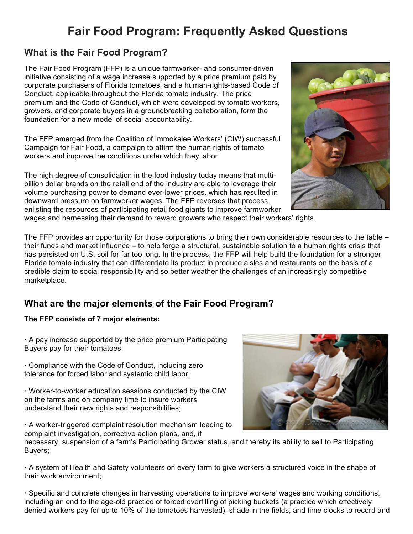# **Fair Food Program: Frequently Asked Questions**

# **What is the Fair Food Program?**

The Fair Food Program (FFP) is a unique farmworker- and consumer-driven initiative consisting of a wage increase supported by a price premium paid by corporate purchasers of Florida tomatoes, and a human-rights-based Code of Conduct, applicable throughout the Florida tomato industry. The price premium and the Code of Conduct, which were developed by tomato workers, growers, and corporate buyers in a groundbreaking collaboration, form the foundation for a new model of social accountability.

The FFP emerged from the Coalition of Immokalee Workers' (CIW) successful Campaign for Fair Food, a campaign to affirm the human rights of tomato workers and improve the conditions under which they labor.

The high degree of consolidation in the food industry today means that multibillion dollar brands on the retail end of the industry are able to leverage their volume purchasing power to demand ever-lower prices, which has resulted in downward pressure on farmworker wages. The FFP reverses that process, enlisting the resources of participating retail food giants to improve farmworker



wages and harnessing their demand to reward growers who respect their workers' rights.

The FFP provides an opportunity for those corporations to bring their own considerable resources to the table – their funds and market influence – to help forge a structural, sustainable solution to a human rights crisis that has persisted on U.S. soil for far too long. In the process, the FFP will help build the foundation for a stronger Florida tomato industry that can differentiate its product in produce aisles and restaurants on the basis of a credible claim to social responsibility and so better weather the challenges of an increasingly competitive marketplace.

# **What are the major elements of the Fair Food Program?**

#### **The FFP consists of 7 major elements:**

**·** A pay increase supported by the price premium Participating Buyers pay for their tomatoes;

**·** Compliance with the Code of Conduct, including zero tolerance for forced labor and systemic child labor;

**·** Worker-to-worker education sessions conducted by the CIW on the farms and on company time to insure workers understand their new rights and responsibilities;

**·** A worker-triggered complaint resolution mechanism leading to complaint investigation, corrective action plans, and, if



necessary, suspension of a farm's Participating Grower status, and thereby its ability to sell to Participating Buyers;

**·** A system of Health and Safety volunteers on every farm to give workers a structured voice in the shape of their work environment;

**·** Specific and concrete changes in harvesting operations to improve workers' wages and working conditions, including an end to the age-old practice of forced overfilling of picking buckets (a practice which effectively denied workers pay for up to 10% of the tomatoes harvested), shade in the fields, and time clocks to record and